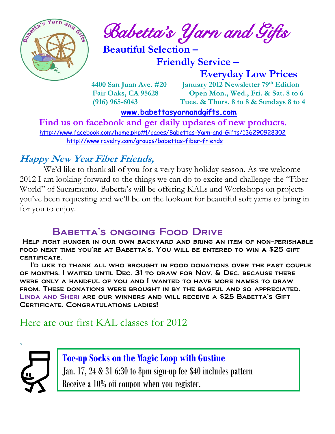

*Babetta's Yarn and Gifts* 

 **Beautiful Selection –**

 **Friendly Service –**

 **Everyday Low Prices**

 **4400 San Juan Ave. #20 January 2012 Newsletter 79th Edition Fair Oaks, CA 95628 Open Mon., Wed., Fri. & Sat. 8 to 6 (916) 965-6043 Tues. & Thurs. 8 to 8 & Sundays 8 to 4** 

 **[www.babettasyarnandgifts.com](http://www.babettasyarnandgifts.com/)**

 **Find us on facebook and get daily updates of new products.**  <http://www.facebook.com/home.php#!/pages/Babettas-Yarn-and-Gifts/136290928302> <http://www.ravelry.com/groups/babettas-fiber-friends>

### **Happy New Year Fiber Friends,**

 We'd like to thank all of you for a very busy holiday season. As we welcome 2012 I am looking forward to the things we can do to excite and challenge the "Fiber World" of Sacramento. Babetta's will be offering KALs and Workshops on projects you've been requesting and we'll be on the lookout for beautiful soft yarns to bring in for you to enjoy.

## BABETTA'S ONGOING FOOD DRIVE

Help fight hunger in our own backyard and bring an item of non-perishable food next time you're at Babetta's. You will be entered to win a \$25 gift certificate.

 I'd like to thank all who brought in food donations over the past couple of months. I waited until Dec. 31 to draw for Nov. & Dec. because there were only a handful of you and I wanted to have more names to draw from. These donations were brought in by the bagful and so appreciated. Linda and Sheri are our winners and will receive a \$25 Babetta's Gift Certificate. Congratulations ladies!

## Here are our first KAL classes for 2012



**Toe-up Socks on the Magic Loop with Gustine** Jan. 17, 24 & 31 6:30 to 8pm sign-up fee \$40 includes pattern Receive a 10% off coupon when you register.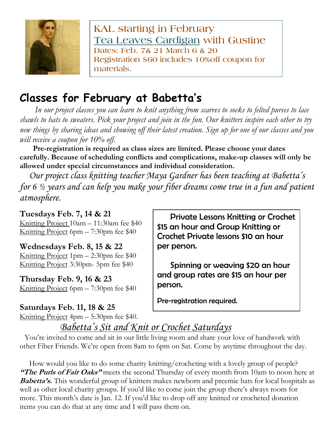

**KAL starting in February Tea Leaves Cardigan with Gustine Dates: Feb. 7& 21 March 6 & 20 Registration \$60 includes 10%off coupon for materials.**

# **Classes for February at Babetta's**

 *In our project classes you can learn to knit anything from scarves to socks to felted purses to lace shawls to hats to sweaters. Pick your project and join in the fun. Our knitters inspire each other to try new things by sharing ideas and showing off their latest creation. Sign up for one of our classes and you will receive a coupon for 10% off.*

 **Pre-registration is required as class sizes are limited. Please choose your dates carefully. Because of scheduling conflicts and complications, make-up classes will only be allowed under special circumstances and individual consideration.**

*Our project class knitting teacher Maya Gardner has been teaching at Babetta's for 6 ½ years and can help you make your fiber dreams come true in a fun and patient atmosphere.*

#### **Tuesdays Feb. 7, 14 & 21**

Knitting Project 10am – 11:30am fee \$40 Knitting Project 6pm – 7:30pm fee \$40

#### **Wednesdays Feb. 8, 15 & 22**

Knitting Project 1pm – 2:30pm fee \$40 Knitting Project 3:30pm- 5pm fee \$40

**Thursday Feb. 9, 16 & 23** Knitting Project 6pm – 7:30pm fee \$40

#### **Saturdays Feb. 11, 18 & 25**

Knitting Project 4pm – 5:30pm fee \$40.

 Private Lessons Knitting or Crochet \$15 an hour and Group Knitting or Crochet Private lessons \$10 an hour per person.

 Spinning or weaving \$20 an hour and group rates are \$15 an hour per person.

Pre-registration required.

# *Babetta's Sit and Knit or Crochet Saturdays*

You're invited to come and sit in our little living room and share your love of handwork with other Fiber Friends. We're open from 8am to 6pm on Sat. Come by anytime throughout the day.

 How would you like to do some charity knitting/crocheting with a lovely group of people? **"The Purls of Fair Oaks"** meets the second Thursday of every month from 10am to noon here at **Babetta's.** This wonderful group of knitters makes newborn and preemie hats for local hospitals as well as other local charity groups. If you'd like to come join the group there's always room for more. This month's date is Jan. 12. If you'd like to drop off any knitted or crocheted donation items you can do that at any time and I will pass them on.